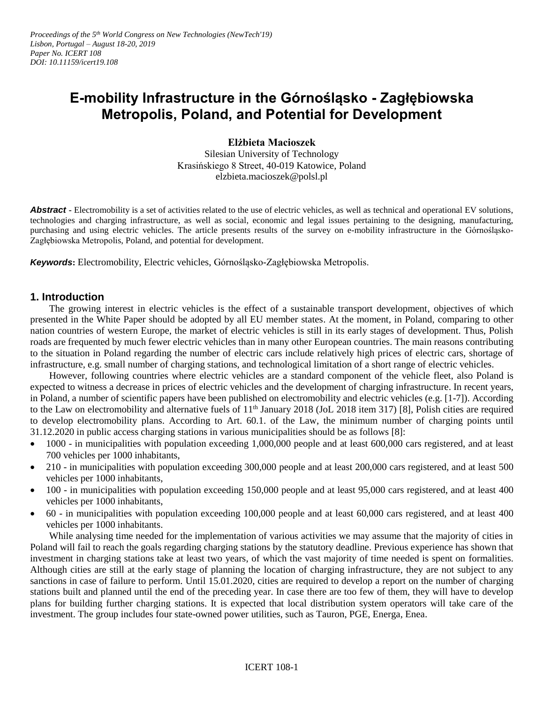# **E-mobility Infrastructure in the Górnośląsko - Zagłębiowska Metropolis, Poland, and Potential for Development**

**Elżbieta Macioszek**

Silesian University of Technology Krasińskiego 8 Street, 40-019 Katowice, Poland elzbieta.macioszek@polsl.pl

Abstract **-** Electromobility is a set of activities related to the use of electric vehicles, as well as technical and operational EV solutions, technologies and charging infrastructure, as well as social, economic and legal issues pertaining to the designing, manufacturing, purchasing and using electric vehicles. The article presents results of the survey on e-mobility infrastructure in the Górnośląsko-Zagłębiowska Metropolis, Poland, and potential for development.

*Keywords***:** Electromobility, Electric vehicles, Górnośląsko-Zagłębiowska Metropolis.

#### **1. Introduction**

The growing interest in electric vehicles is the effect of a sustainable transport development, objectives of which presented in the White Paper should be adopted by all EU member states. At the moment, in Poland, comparing to other nation countries of western Europe, the market of electric vehicles is still in its early stages of development. Thus, Polish roads are frequented by much fewer electric vehicles than in many other European countries. The main reasons contributing to the situation in Poland regarding the number of electric cars include relatively high prices of electric cars, shortage of infrastructure, e.g. small number of charging stations, and technological limitation of a short range of electric vehicles.

However, following countries where electric vehicles are a standard component of the vehicle fleet, also Poland is expected to witness a decrease in prices of electric vehicles and the development of charging infrastructure. In recent years, in Poland, a number of scientific papers have been published on electromobility and electric vehicles (e.g. [1-7]). According to the Law on electromobility and alternative fuels of  $11<sup>th</sup>$  January 2018 (JoL 2018 item 317) [8], Polish cities are required to develop electromobility plans. According to Art. 60.1. of the Law, the minimum number of charging points until 31.12.2020 in public access charging stations in various municipalities should be as follows [8]:

- 1000 in municipalities with population exceeding 1,000,000 people and at least 600,000 cars registered, and at least 700 vehicles per 1000 inhabitants,
- 210 in municipalities with population exceeding 300,000 people and at least 200,000 cars registered, and at least 500 vehicles per 1000 inhabitants,
- $\bullet$  100 in municipalities with population exceeding 150,000 people and at least 95,000 cars registered, and at least 400 vehicles per 1000 inhabitants,
- $\bullet$  60 in municipalities with population exceeding 100,000 people and at least 60,000 cars registered, and at least 400 vehicles per 1000 inhabitants.

While analysing time needed for the implementation of various activities we may assume that the majority of cities in Poland will fail to reach the goals regarding charging stations by the statutory deadline. Previous experience has shown that investment in charging stations take at least two years, of which the vast majority of time needed is spent on formalities. Although cities are still at the early stage of planning the location of charging infrastructure, they are not subject to any sanctions in case of failure to perform. Until 15.01.2020, cities are required to develop a report on the number of charging stations built and planned until the end of the preceding year. In case there are too few of them, they will have to develop plans for building further charging stations. It is expected that local distribution system operators will take care of the investment. The group includes four state-owned power utilities, such as Tauron, PGE, Energa, Enea.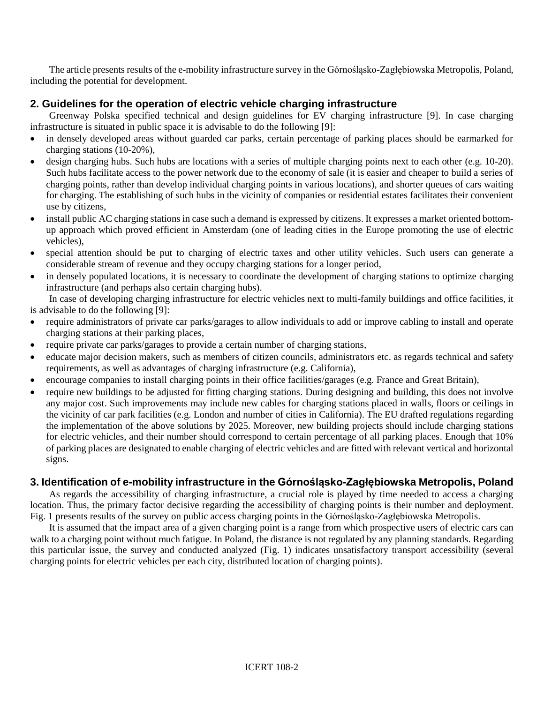The article presents results of the e-mobility infrastructure survey in the Górnośląsko-Zagłębiowska Metropolis, Poland, including the potential for development.

## **2. Guidelines for the operation of electric vehicle charging infrastructure**

Greenway Polska specified technical and design guidelines for EV charging infrastructure [9]. In case charging infrastructure is situated in public space it is advisable to do the following [9]:

- in densely developed areas without guarded car parks, certain percentage of parking places should be earmarked for charging stations (10-20%),
- design charging hubs. Such hubs are locations with a series of multiple charging points next to each other (e.g. 10-20). Such hubs facilitate access to the power network due to the economy of sale (it is easier and cheaper to build a series of charging points, rather than develop individual charging points in various locations), and shorter queues of cars waiting for charging. The establishing of such hubs in the vicinity of companies or residential estates facilitates their convenient use by citizens,
- install public AC charging stations in case such a demand is expressed by citizens. It expresses a market oriented bottomup approach which proved efficient in Amsterdam (one of leading cities in the Europe promoting the use of electric vehicles),
- special attention should be put to charging of electric taxes and other utility vehicles. Such users can generate a considerable stream of revenue and they occupy charging stations for a longer period,
- in densely populated locations, it is necessary to coordinate the development of charging stations to optimize charging infrastructure (and perhaps also certain charging hubs).

In case of developing charging infrastructure for electric vehicles next to multi-family buildings and office facilities, it is advisable to do the following [9]:

- require administrators of private car parks/garages to allow individuals to add or improve cabling to install and operate charging stations at their parking places,
- require private car parks/garages to provide a certain number of charging stations,
- educate major decision makers, such as members of citizen councils, administrators etc. as regards technical and safety requirements, as well as advantages of charging infrastructure (e.g. California),
- encourage companies to install charging points in their office facilities/garages (e.g. France and Great Britain),
- require new buildings to be adjusted for fitting charging stations. During designing and building, this does not involve any major cost. Such improvements may include new cables for charging stations placed in walls, floors or ceilings in the vicinity of car park facilities (e.g. London and number of cities in California). The EU drafted regulations regarding the implementation of the above solutions by 2025. Moreover, new building projects should include charging stations for electric vehicles, and their number should correspond to certain percentage of all parking places. Enough that 10% of parking places are designated to enable charging of electric vehicles and are fitted with relevant vertical and horizontal signs.

### **3. Identification of e-mobility infrastructure in the Górnośląsko-Zagłębiowska Metropolis, Poland**

As regards the accessibility of charging infrastructure, a crucial role is played by time needed to access a charging location. Thus, the primary factor decisive regarding the accessibility of charging points is their number and deployment. Fig. 1 presents results of the survey on public access charging points in the Górnośląsko-Zagłębiowska Metropolis.

It is assumed that the impact area of a given charging point is a range from which prospective users of electric cars can walk to a charging point without much fatigue. In Poland, the distance is not regulated by any planning standards. Regarding this particular issue, the survey and conducted analyzed (Fig. 1) indicates unsatisfactory transport accessibility (several charging points for electric vehicles per each city, distributed location of charging points).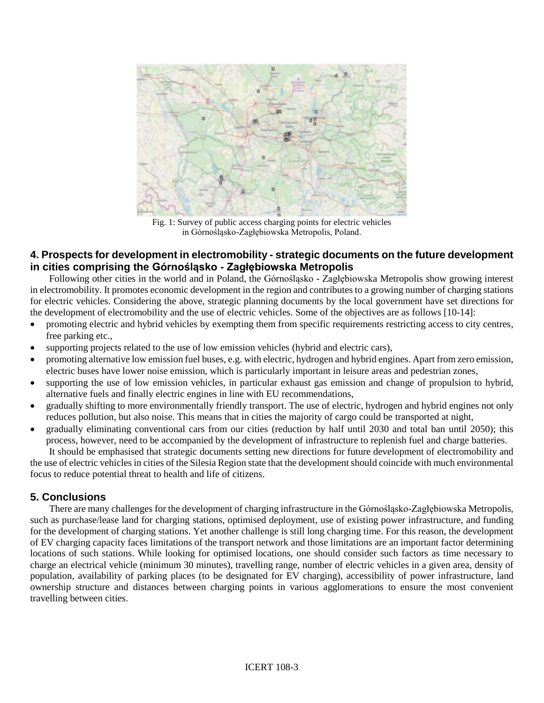

Fig. 1: Survey of public access charging points for electric vehicles in Górnośląsko-Zagłębiowska Metropolis, Poland.

### **4. Prospects for development in electromobility - strategic documents on the future development in cities comprising the Górnośląsko - Zagłębiowska Metropolis**

Following other cities in the world and in Poland, the Górnośląsko - Zagłębiowska Metropolis show growing interest in electromobility. It promotes economic development in the region and contributes to a growing number of charging stations for electric vehicles. Considering the above, strategic planning documents by the local government have set directions for the development of electromobility and the use of electric vehicles. Some of the objectives are as follows [10-14]:

- promoting electric and hybrid vehicles by exempting them from specific requirements restricting access to city centres, free parking etc.,
- supporting projects related to the use of low emission vehicles (hybrid and electric cars),
- promoting alternative low emission fuel buses, e.g. with electric, hydrogen and hybrid engines. Apart from zero emission, electric buses have lower noise emission, which is particularly important in leisure areas and pedestrian zones,
- supporting the use of low emission vehicles, in particular exhaust gas emission and change of propulsion to hybrid, alternative fuels and finally electric engines in line with EU recommendations,
- gradually shifting to more environmentally friendly transport. The use of electric, hydrogen and hybrid engines not only reduces pollution, but also noise. This means that in cities the majority of cargo could be transported at night,
- gradually eliminating conventional cars from our cities (reduction by half until 2030 and total ban until 2050); this process, however, need to be accompanied by the development of infrastructure to replenish fuel and charge batteries.

It should be emphasised that strategic documents setting new directions for future development of electromobility and the use of electric vehicles in cities of the Silesia Region state that the development should coincide with much environmental focus to reduce potential threat to health and life of citizens.

## **5. Conclusions**

There are many challenges for the development of charging infrastructure in the Górnośląsko-Zagłębiowska Metropolis, such as purchase/lease land for charging stations, optimised deployment, use of existing power infrastructure, and funding for the development of charging stations. Yet another challenge is still long charging time. For this reason, the development of EV charging capacity faces limitations of the transport network and those limitations are an important factor determining locations of such stations. While looking for optimised locations, one should consider such factors as time necessary to charge an electrical vehicle (minimum 30 minutes), travelling range, number of electric vehicles in a given area, density of population, availability of parking places (to be designated for EV charging), accessibility of power infrastructure, land ownership structure and distances between charging points in various agglomerations to ensure the most convenient travelling between cities.